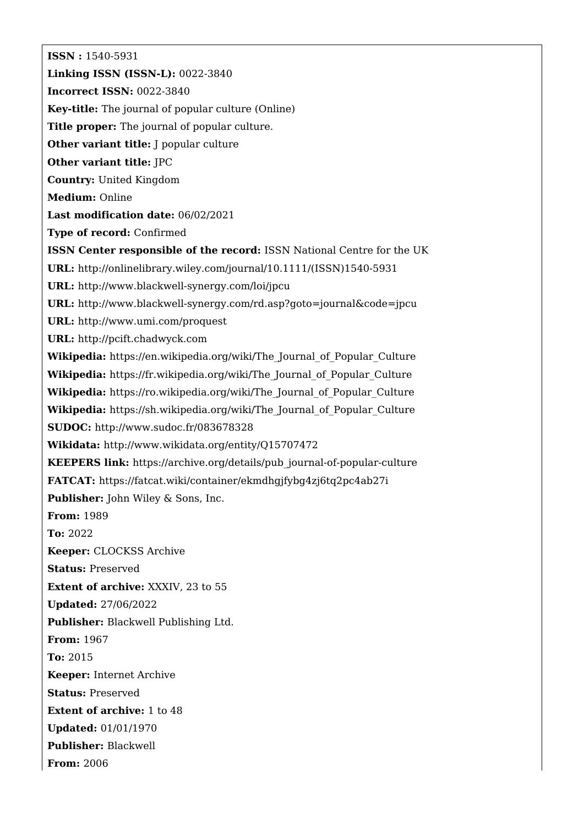**ISSN :** 1540-5931 **Linking ISSN (ISSN-L):** 0022-3840 **Incorrect ISSN:** 0022-3840 **Key-title:** The journal of popular culture (Online) **Title proper:** The journal of popular culture. **Other variant title:** J popular culture **Other variant title:** JPC **Country:** United Kingdom **Medium:** Online **Last modification date:** 06/02/2021 **Type of record:** Confirmed **ISSN Center responsible of the record:** ISSN National Centre for the UK **URL:** [http://onlinelibrary.wiley.com/journal/10.1111/\(ISSN\)1540-5931](http://onlinelibrary.wiley.com/journal/10.1111/(ISSN)1540-5931) **URL:** <http://www.blackwell-synergy.com/loi/jpcu> **URL:** <http://www.blackwell-synergy.com/rd.asp?goto=journal&code=jpcu> **URL:** <http://www.umi.com/proquest> **URL:** <http://pcift.chadwyck.com> **Wikipedia:** [https://en.wikipedia.org/wiki/The\\_Journal\\_of\\_Popular\\_Culture](https://en.wikipedia.org/wiki/The_Journal_of_Popular_Culture) Wikipedia: [https://fr.wikipedia.org/wiki/The\\_Journal\\_of\\_Popular\\_Culture](https://fr.wikipedia.org/wiki/The_Journal_of_Popular_Culture) Wikipedia: [https://ro.wikipedia.org/wiki/The\\_Journal\\_of\\_Popular\\_Culture](https://ro.wikipedia.org/wiki/The_Journal_of_Popular_Culture) **Wikipedia:** [https://sh.wikipedia.org/wiki/The\\_Journal\\_of\\_Popular\\_Culture](https://sh.wikipedia.org/wiki/The_Journal_of_Popular_Culture) **SUDOC:** <http://www.sudoc.fr/083678328> **Wikidata:** <http://www.wikidata.org/entity/Q15707472> **KEEPERS link:** [https://archive.org/details/pub\\_journal-of-popular-culture](https://archive.org/details/pub_journal-of-popular-culture) **FATCAT:** <https://fatcat.wiki/container/ekmdhgjfybg4zj6tq2pc4ab27i> **Publisher:** John Wiley & Sons, Inc. **From:** 1989 **To:** 2022 **Keeper:** CLOCKSS Archive **Status:** Preserved **Extent of archive:** XXXIV, 23 to 55 **Updated:** 27/06/2022 **Publisher:** Blackwell Publishing Ltd. **From:** 1967 **To:** 2015 **Keeper:** Internet Archive **Status:** Preserved **Extent of archive:** 1 to 48 **Updated:** 01/01/1970 **Publisher:** Blackwell **From:** 2006